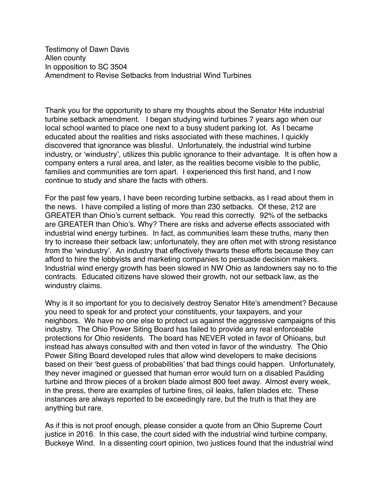Testimony of Dawn Davis Allen county In opposition to SC 3504 Amendment to Revise Setbacks from Industrial Wind Turbines

Thank you for the opportunity to share my thoughts about the Senator Hite industrial turbine setback amendment. I began studying wind turbines 7 years ago when our local school wanted to place one next to a busy student parking lot. As I became educated about the realities and risks associated with these machines, I quickly discovered that ignorance was blissful. Unfortunately, the industrial wind turbine industry, or 'windustry', utilizes this public ignorance to their advantage. It is often how a company enters a rural area, and later, as the realities become visible to the public, families and communities are torn apart. I experienced this first hand, and I now continue to study and share the facts with others.

For the past few years, I have been recording turbine setbacks, as I read about them in the news. I have compiled a listing of more than 230 setbacks. Of these, 212 are GREATER than Ohio's current setback. You read this correctly. 92% of the setbacks are GREATER than Ohio's. Why? There are risks and adverse effects associated with industrial wind energy turbines. In fact, as communities learn these truths, many then try to increase their setback law; unfortunately, they are often met with strong resistance from the 'windustry'. An industry that effectively thwarts these efforts because they can afford to hire the lobbyists and marketing companies to persuade decision makers. Industrial wind energy growth has been slowed in NW Ohio as landowners say no to the contracts. Educated citizens have slowed their growth, not our setback law, as the windustry claims.

Why is it so important for you to decisively destroy Senator Hite's amendment? Because you need to speak for and protect your constituents, your taxpayers, and your neighbors. We have no one else to protect us against the aggressive campaigns of this industry. The Ohio Power Siting Board has failed to provide any real enforceable protections for Ohio residents. The board has NEVER voted in favor of Ohioans, but instead has always consulted with and then voted in favor of the windustry. The Ohio Power Siting Board developed rules that allow wind developers to make decisions based on their 'best guess of probabilities' that bad things could happen. Unfortunately, they never imagined or guessed that human error would turn on a disabled Paulding turbine and throw pieces of a broken blade almost 800 feet away. Almost every week, in the press, there are examples of turbine fires, oil leaks, fallen blades etc. These instances are always reported to be exceedingly rare, but the truth is that they are anything but rare.

As if this is not proof enough, please consider a quote from an Ohio Supreme Court justice in 2016. In this case, the court sided with the industrial wind turbine company, Buckeye Wind. In a dissenting court opinion, two justices found that the industrial wind